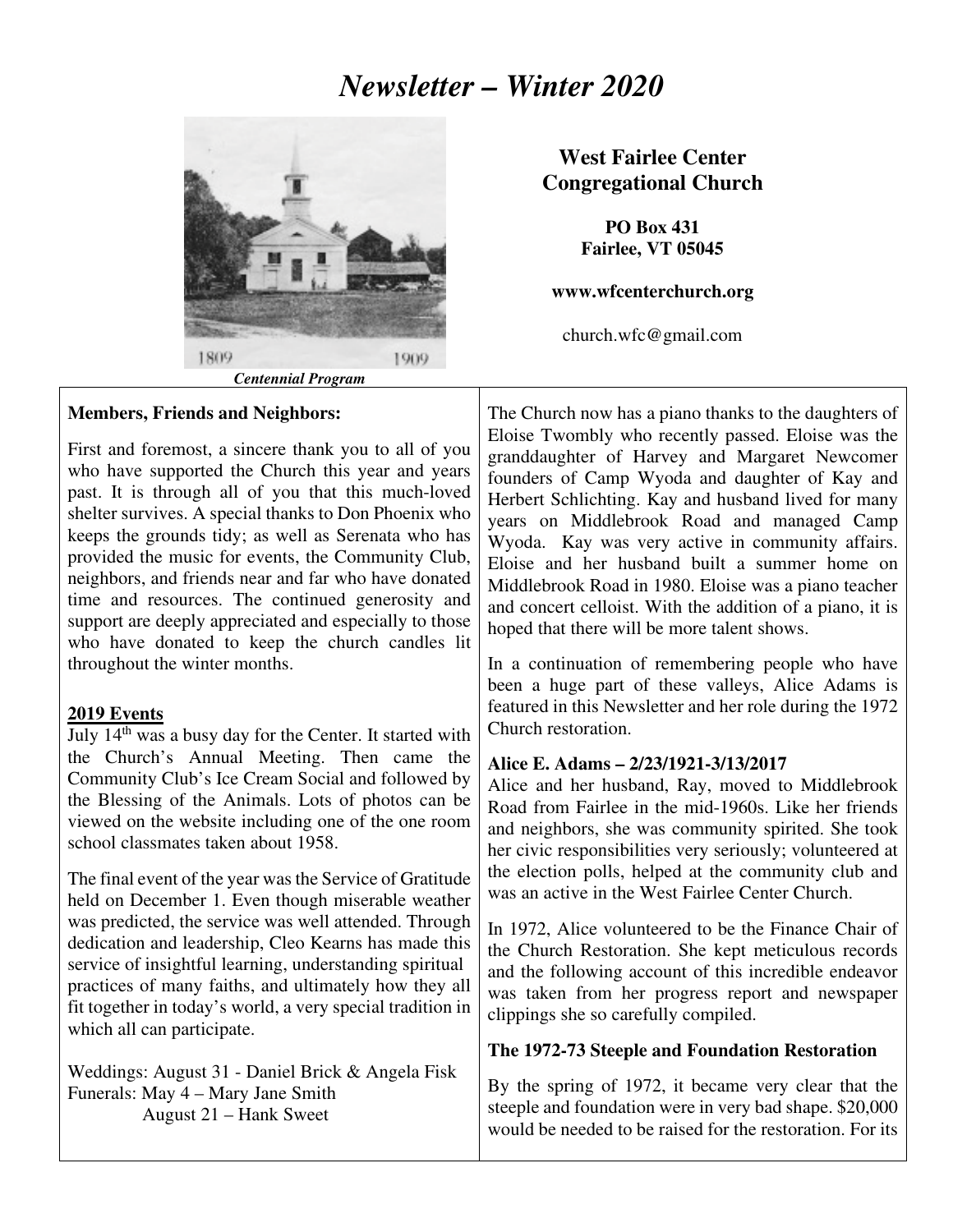# *Newsletter – Winter 2020*



 *Centennial Program*

### **Members, Friends and Neighbors:**

First and foremost, a sincere thank you to all of you who have supported the Church this year and years past. It is through all of you that this much-loved shelter survives. A special thanks to Don Phoenix who keeps the grounds tidy; as well as Serenata who has provided the music for events, the Community Club, neighbors, and friends near and far who have donated time and resources. The continued generosity and support are deeply appreciated and especially to those who have donated to keep the church candles lit throughout the winter months.

### **2019 Events**

July 14<sup>th</sup> was a busy day for the Center. It started with the Church's Annual Meeting. Then came the Community Club's Ice Cream Social and followed by the Blessing of the Animals. Lots of photos can be viewed on the website including one of the one room school classmates taken about 1958.

The final event of the year was the Service of Gratitude held on December 1. Even though miserable weather was predicted, the service was well attended. Through dedication and leadership, Cleo Kearns has made this service of insightful learning, understanding spiritual practices of many faiths, and ultimately how they all fit together in today's world, a very special tradition in which all can participate.

Weddings: August 31 - Daniel Brick & Angela Fisk Funerals: May 4 – Mary Jane Smith August 21 – Hank Sweet

## **West Fairlee Center Congregational Church**

**PO Box 431 Fairlee, VT 05045** 

#### **www.wfcenterchurch.org**

church.wfc@gmail.com

The Church now has a piano thanks to the daughters of Eloise Twombly who recently passed. Eloise was the granddaughter of Harvey and Margaret Newcomer founders of Camp Wyoda and daughter of Kay and Herbert Schlichting. Kay and husband lived for many years on Middlebrook Road and managed Camp Wyoda. Kay was very active in community affairs. Eloise and her husband built a summer home on Middlebrook Road in 1980. Eloise was a piano teacher and concert celloist. With the addition of a piano, it is hoped that there will be more talent shows.

In a continuation of remembering people who have been a huge part of these valleys, Alice Adams is featured in this Newsletter and her role during the 1972 Church restoration.

### **Alice E. Adams – 2/23/1921-3/13/2017**

Alice and her husband, Ray, moved to Middlebrook Road from Fairlee in the mid-1960s. Like her friends and neighbors, she was community spirited. She took her civic responsibilities very seriously; volunteered at the election polls, helped at the community club and was an active in the West Fairlee Center Church.

In 1972, Alice volunteered to be the Finance Chair of the Church Restoration. She kept meticulous records and the following account of this incredible endeavor was taken from her progress report and newspaper clippings she so carefully compiled.

### **The 1972-73 Steeple and Foundation Restoration**

By the spring of 1972, it became very clear that the steeple and foundation were in very bad shape. \$20,000 would be needed to be raised for the restoration. For its